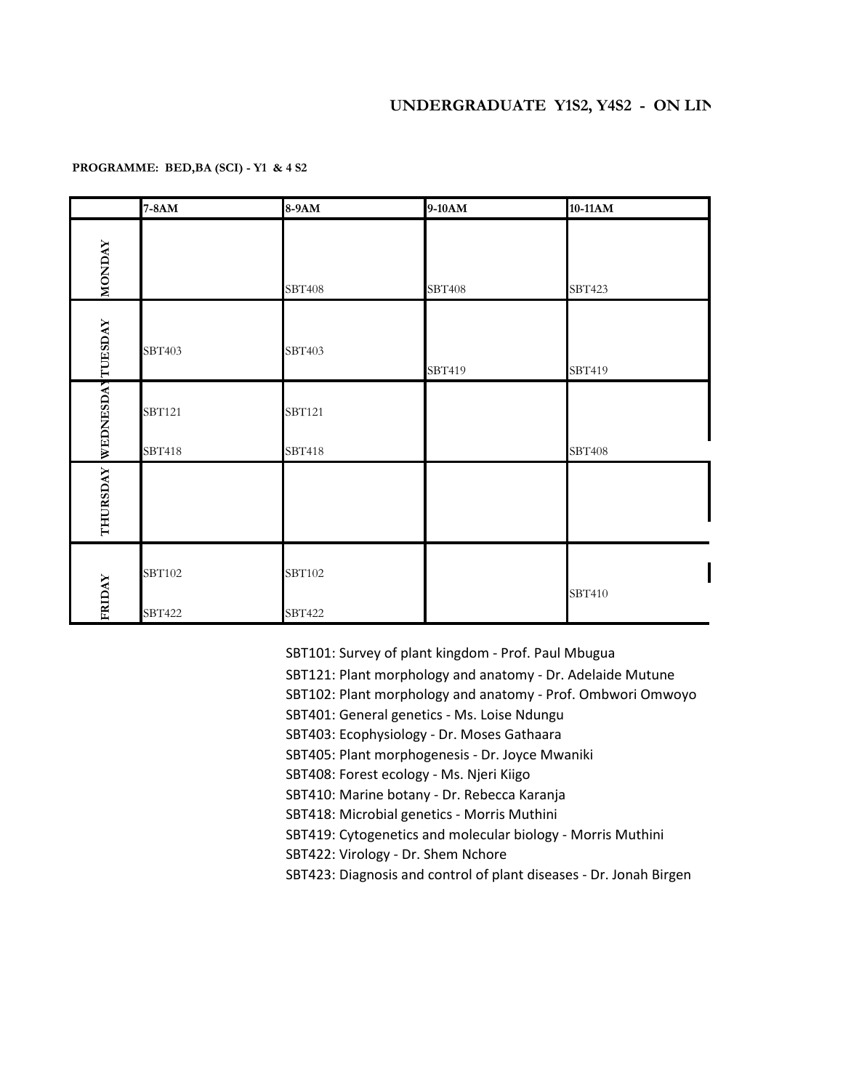## **PROGRAMME: BED,BA (SCI) - Y1 & 4 S2**

|                  | 7-8AM                   | 8-9AM            | 9-10AM        | 10-11AM       |
|------------------|-------------------------|------------------|---------------|---------------|
| <b>MONDAY</b>    |                         | <b>SBT408</b>    | <b>SBT408</b> | SBT423        |
|                  | SBT403                  | SBT403           | SBT419        | SBT419        |
| WEDNESDAYTUESDAY | <b>SBT121</b>           | <b>SBT121</b>    |               |               |
| THURSDAY         | SBT418                  | SBT418           |               | <b>SBT408</b> |
| FRIDAY           | <b>SBT102</b><br>SBT422 | SBT102<br>SBT422 |               | SBT410        |

SBT101: Survey of plant kingdom - Prof. Paul Mbugua

SBT121: Plant morphology and anatomy - Dr. Adelaide Mutune

SBT102: Plant morphology and anatomy - Prof. Ombwori Omwoyo

SBT401: General genetics - Ms. Loise Ndungu

SBT403: Ecophysiology - Dr. Moses Gathaara

SBT405: Plant morphogenesis - Dr. Joyce Mwaniki

SBT408: Forest ecology - Ms. Njeri Kiigo

SBT410: Marine botany - Dr. Rebecca Karanja

SBT418: Microbial genetics - Morris Muthini

SBT419: Cytogenetics and molecular biology - Morris Muthini

SBT422: Virology - Dr. Shem Nchore

SBT423: Diagnosis and control of plant diseases - Dr. Jonah Birgen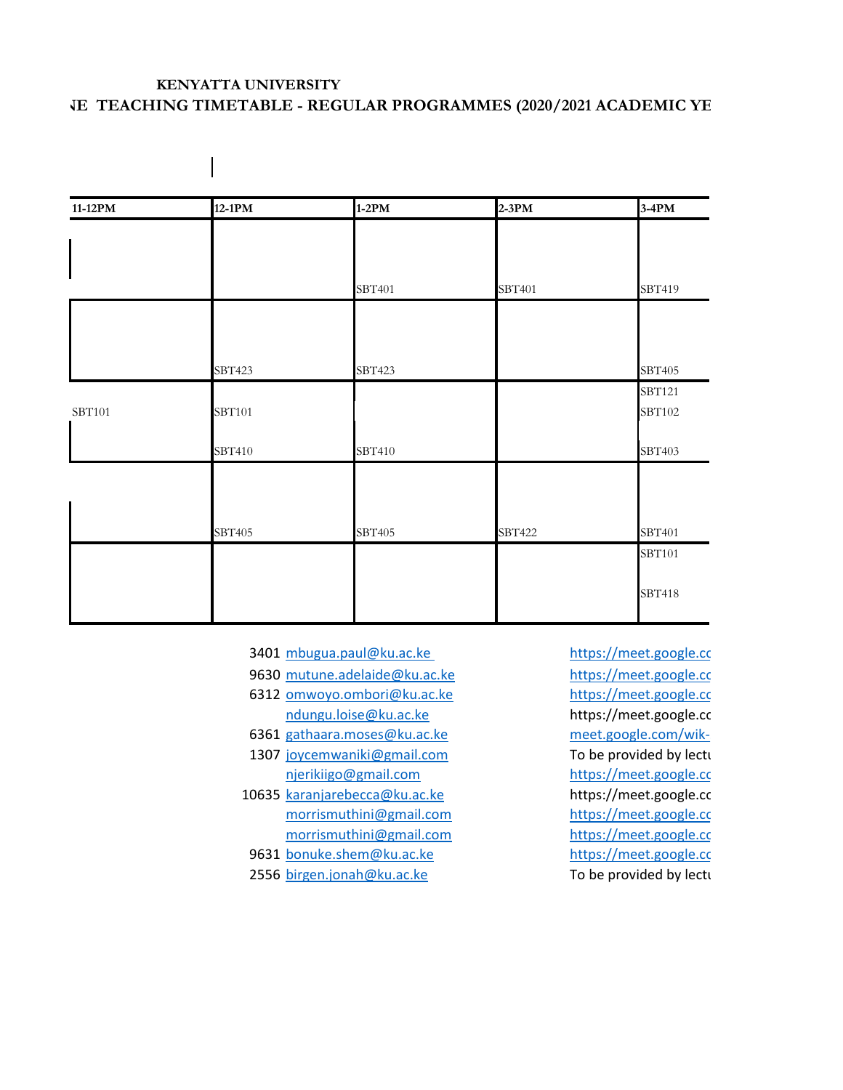## **KENYATTA UNIVERSITY VE TEACHING TIMETABLE - REGULAR PROGRAMMES (2020/2021 ACADEMIC YE**

| 11-12PM       | $12-1PM$ | $1-2PM$ | $2-3PM$       | $3-4PM$ |
|---------------|----------|---------|---------------|---------|
|               |          |         |               |         |
|               |          |         |               |         |
|               |          | SBT401  | SBT401        | SBT419  |
|               |          |         |               |         |
|               |          |         |               |         |
|               | SBT423   | SBT423  |               | SBT405  |
|               |          |         |               | SBT121  |
| <b>SBT101</b> | SBT101   |         |               | SBT102  |
|               | SBT410   | SBT410  |               | SBT403  |
|               |          |         |               |         |
|               |          |         |               |         |
|               | SBT405   | SBT405  | <b>SBT422</b> | SBT401  |
|               |          |         |               | SBT101  |
|               |          |         |               |         |
|               |          |         |               | SBT418  |

- 3401 [mbugua.paul@ku.ac.ke](mailto:mbugua.paul@ku.ac.ke) https://meet.google.com
- 9630 [mutune.adelaide@ku.ac.ke](mailto:mutune.adelaide@ku.ac.ke) https://meet.google.com
- 6312 [omwoyo.ombori@ku.ac.ke](mailto:omwoyo.ombori@ku.ac.ke) https://meet.google.com ndungu.loise@ku.ac.ke https://meet.google.com
- 6361 [gathaara.moses@ku.ac.ke](mailto:gathaara.moses@ku.ac.ke) meet.google.com/wik-
- 1307 [joycemwaniki@gmail.com](mailto:joycemwaniki@gmail.com) To be provided by lecture [njerikiigo@gmail.com](mailto:njerikiigo@gmail.com) https://meet.google.com
- 10635 [karanjarebecca@ku.ac.ke](mailto:karanjarebecca@ku.ac.ke) https://meet.google.com [morrismuthini@gmail.com](mailto:morrismuthini@gmail.com) https://meet.google.com [morrismuthini@gmail.com](mailto:morrismuthini@gmail.com) https://meet.google.com
- 9631 [bonuke.shem@ku.ac.ke](mailto:bonuke.shem@ku.ac.ke) https://meet.google.com
- 2556 [birgen.jonah@ku.ac.ke](mailto:birgen.jonah@ku.ac.ke) To be provided by lecturers